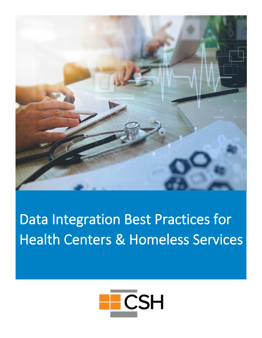

# Data Integration Best Practices for Health Centers & Homeless Services

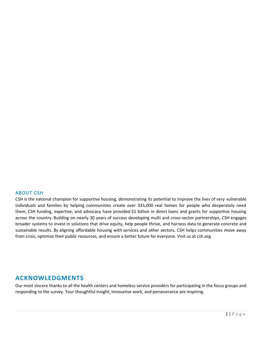#### <span id="page-1-0"></span>ABOUT CSH

CSH is the national champion for supportive housing, demonstrating its potential to improve the lives of very vulnerable individuals and families by helping communities create over 335,000 real homes for people who desperately need them. CSH funding, expertise, and advocacy have provided \$1 billion in direct loans and grants for supportive housing across the country. Building on nearly 30 years of success developing multi and cross-sector partnerships, CSH engages broader systems to invest in solutions that drive equity, help people thrive, and harness data to generate concrete and sustainable results. By aligning affordable housing with services and other sectors, CSH helps communities move away from crisis, optimize their public resources, and ensure a better future for everyone. Visit us at csh.org.

## <span id="page-1-1"></span>**ACKNOWLEDGMENTS**

Our most sincere thanks to all the health centers and homeless service providers for participating in the focus groups and responding to the survey. Your thoughtful insight, innovative work, and perseverance are inspiring.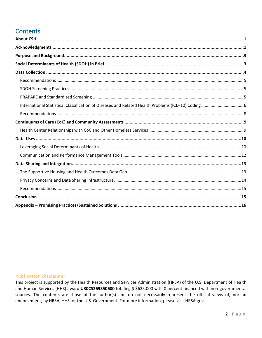# **Contents**

#### **Publication disclaimer**

This project is supported by the Health Resources and Services Administration (HRSA) of the U.S. Department of Health and Human Services (HHS) award U30CS269350600 totaling \$ \$625,000 with 0 percent financed with non-governmental sources. The contents are those of the author(s) and do not necessarily represent the official views of, nor an endorsement, by HRSA, HHS, or the U.S. Government. For more information, please visit HRSA.gov.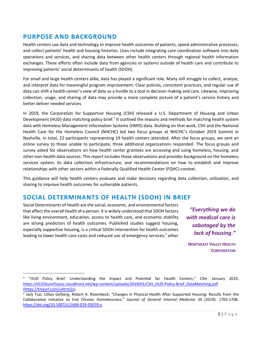# <span id="page-3-0"></span>**PURPOSE AND BACKGROUND**

Health centers use data and technology to improve health outcomes of patients, speed administrative processes, and collect patients' health and housing histories. Uses include integrating care coordination software into daily operations and services, and sharing data between other health centers through regional health information exchanges. These efforts often include data from agencies or systems outside of health care and contribute to improving patients' social determinants of health (SDOH).

For small and large health centers alike, data has played a significant role. Many still struggle to collect, analyze, and interpret data for meaningful program improvement. Clear policies, consistent practices, and regular use of data can shift a health center's view of data as a hurdle to a tool in decision making and care. Likewise, improving collection, usage, and sharing of data may provide a more complete picture of a patient's service history and better deliver needed services.

In 2019, the Corporation for Supportive Housing (CSH) released a U.S. Department of Housing and Urban Development (HUD) data matching policy brief.<sup>1</sup> It outlined the reasons and methods for matching health system data with Homeless Management Information Systems (HMIS) data. Building on that work, CSH and the National Health Care for the Homeless Council (NHCHC) led two focus groups at NHCHC's October 2019 Summit in Nashville. In total, 22 participants representing 19 health centers attended. After the focus groups, we sent an online survey to those unable to participate, three additional organizations responded. The focus groups and survey asked for observations on how health center grantees are accessing and using homeless, housing, and other non-health data sources. This report includes those observations and provides background on the homeless services system, its data collection infrastructure, and recommendations on how to establish and improve relationships with other sectors within a Federally Qualified Health Center (FQHC) context.

This guidance will help health centers evaluate and make decisions regarding data collection, utilization, and sharing to improve health outcomes for vulnerable patients.

## <span id="page-3-1"></span>**SOCIAL DETERMINANTS OF HEALTH (SDOH) IN BRIEF**

Social Determinants of Health are the social, economic, and environmental factors that affect the overall health of a person. It is widely understood that SDOH factors like living environment, education, access to health care, and economic stability are strong predictors of health outcomes. Published studies suggest housing, especially supportive housing, is a critical SDOH intervention for health outcomes leading to lower health care costs and reduced use of emergency services,<sup>2</sup> other

*"Everything we do with medical care is sabotaged by the lack of housing."* 

**NORTHEAST VALLEY HEALTH CORPORATION**

<sup>1</sup> "HUD Policy Brief: Understanding the Impact and Potential for Health Centers," CSH*,* January 2019, [https://d155kunxf1aozz.cloudfront.net/wp-content/uploads/2019/01/CSH\\_HUD-Policy-Brief\\_DataMatching.pdf](https://d155kunxf1aozz.cloudfront.net/wp-content/uploads/2019/01/CSH_HUD-Policy-Brief_DataMatching.pdf) [\(https://tinyurl.com/u4trm2c\)](https://tinyurl.com/u4trm2c).

<sup>2</sup> Jack Tsai, Lillian Gelberg, Robert A. Rosenbeck, "Changes in Physical Health After Supported Housing: Results from the Collaborative Initiative to End Chronic Homelessness," *Journal of General Internal Medicine* 34 (2019): 1703-1708. [https://doi.org/10.1007/s11606-019-05070-y.](https://doi.org/10.1007/s11606-019-05070-y)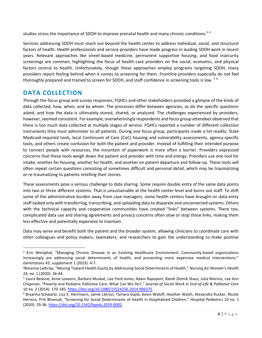studies stress the importance of SDOH to improve prenatal health and many chronic conditions.<sup>34</sup>

Services addressing SDOH must reach out beyond the health center to address individual, social, and structural factors of health. Health professionals and service providers have made progress in leading SDOH work in recent years. Relevant approaches like street-based medicine, permanent supportive housing, and food insecurity screenings are common, highlighting the focus of health care providers on the social, economic, and physical factors central to health. Unfortunately, though these approaches employ programs targeting SDOH, many providers report feeling behind when it comes to screening for them. Frontline providers especially do not feel thoroughly prepared and trained to screen for SDOH, and staff confidence in screening tools is low. <sup>56</sup>

## <span id="page-4-0"></span>**DATA COLLECTION**

Through the focus group and survey responses, FQHCs and other stakeholders provided a glimpse of the kinds of data collected, how, when, and by whom. The processes differ between agencies, as do the specific questions asked, and how the data is ultimately stored, shared, or analyzed. The challenges experienced by providers, however, seemed consistent. For example, overwhelmingly respondents and focus group attendees observed that there is too much data collected at multiple stages of service. FQHCs reported a number of different collection instruments they must administer to all patients. During one focus group, participants made a list readily. State Medicaid-required tools, local Continuum of Care (CoC) housing and vulnerability assessments, agency-specific tools, and others create confusion for both the patient and provider. Instead of fulfilling their intended purpose to connect people with resources, the mountain of paperwork is more often a barrier. Providers expressed concerns that these tools weigh down the patient and provider with time and energy. Providers use one tool for intake, another for housing, another for health, and another on patient departure and follow-up. These tools will often repeat certain questions consisting of sometimes difficult and personal detail, which may be traumatizing or re-traumatizing to patients retelling their stories.

These assessments pose a serious challenge to data sharing. Some require double entry of the same data points into two or three different systems. That is unsustainable at the health center level and burns out staff. To shift some of the administrative burden away from case managers, some health centers have brought on data entry staff tasked only with transferring, transcribing, and uploading data to disparate and unconnected systems. Others with the technical capacity and cooperative communities have created "links" between systems. There too, complicated data use and sharing agreements and privacy concerns often slow or stop these links, making them less effective and potentially expensive to maintain.

Data may serve and benefit both the patient and the broader system, allowing clinicians to coordinate care with other colleagues and policy makers, lawmakers, and researchers to gain the understanding to make positive

<sup>&</sup>lt;sup>3</sup> Erin Westphal, "Managing Chronic Disease in an Evolving Healthcare Environment: Community-based organizations increasingly are addressing social determinants of health, and preventing more expensive medical interventions," *Generations* 43, supplement 1 (2019): 4-7.

<sup>4</sup>Breanna Lathrop, "Moving Toward Health Equity by Addressing Social Determinants of Health," *Nursing for Women's Health* 24, no. 1 (2020): 36-44.

<sup>5</sup> Laura Beaune, Anne Leavens, Barbara Muskat, Lee Ford-Jones, Adam Rapoport, Randi Zlotnik Shaul, Julia Morinis, Lee Ann Chapman, "Poverty and Pediatric Palliative Care: What Can We Do?," *Journal of Social Work in End-of-Life & Palliative Care* 10 no. 2 (2014): 170-185[. https://doi.org/10.1080/15524256.2014.906375.](https://doi.org/10.1080/15524256.2014.906375)

<sup>6</sup> Bryanna Schwartz, Lisa E. Herrmann, Jamie Librizzi, Tamara Gayle, Kevin Waloff, Heather Walsh, Alexandra Rucker, Nicole Herrera, Priti Bhansali, "Screening for Social Determinants of Health in Hospitalized Children," *Hospital Pediatrics* 10 no. 1 (2020): 29-36[. https://doi.org/10.1542/hpeds.2019-0092.](https://doi.org/10.1542/hpeds.2019-0092)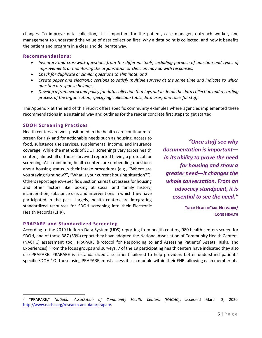changes. To improve data collection, it is important for the patient, case manager, outreach worker, and management to understand the value of data collection first: why a data point is collected, and how it benefits the patient and program in a clear and deliberate way.

#### <span id="page-5-0"></span>**Recommendations:**

- *Inventory and crosswalk questions from the different tools, including purpose of question and types of improvements or monitoring the organization or clinician may do with responses;*
- *Check for duplicate or similar questions to eliminate; and*
- *Create paper and electronic versions to satisfy multiple surveys at the same time and indicate to which question a response belongs.*
- *Develop a framework and policy for data collection that lays out in detail the data collection and recording process of the organization, specifying collection tools, data uses, and roles for staff.*

The Appendix at the end of this report offers specific community examples where agencies implemented these recommendations in a sustained way and outlines for the reader concrete first steps to get started.

## <span id="page-5-1"></span>**SDOH Screening Practices**

Health centers are well-positioned in the health care continuum to screen for risk and for actionable needs such as housing, access to food, substance use services, supplemental income, and insurance coverage. While the methods of SDOH screenings vary across health centers, almost all of those surveyed reported having a protocol for screening. At a minimum, health centers are embedding questions about housing status in their intake procedures (e.g., "Where are you staying right now?", "What is your current housing situation?"). Others report agency-specific questionnaires that assess for housing and other factors like looking at social and family history, incarceration, substance use, and interventions in which they have participated in the past. Largely, health centers are integrating standardized resources for SDOH screening into their Electronic Health Records (EHR).

*"Once staff see why documentation is important in its ability to prove the need for housing and show a greater need—it changes the whole conversation. From an advocacy standpoint, it is essential to see the need."* 

> **TRIAD HEALTHCARE NETWORK/ CONE HEALTH**

#### <span id="page-5-2"></span>**PRAPARE and Standardized Screening**

According to the 2019 Uniform Data System (UDS) reporting from health centers, 980 health centers screen for SDOH, and of those 387 (39%) report they have adopted the National Association of Community Health Centers' (NACHC) assessment tool, PRAPARE (Protocol for Responding to and Assessing Patients' Assets, Risks, and Experiences). From the focus groups and surveys, 7 of the 19 participating health centers have indicated they also use PRAPARE. PRAPARE is a standardized assessment tailored to help providers better understand patients' specific SDOH.<sup>7</sup> Of those using PRAPARE, most access it as a module within their EHR, allowing each member of a

<sup>7</sup> "PRAPARE," *National Association of Community Health Centers (NACHC)*, accessed March 2, 2020, [http://www.nachc.org/research-and-data/prapare.](http://www.nachc.org/research-and-data/prapare)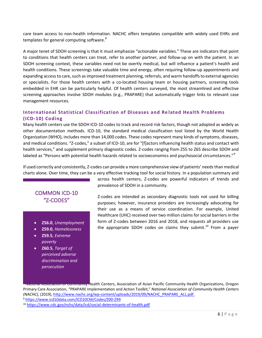care team access to non-health information. NACHC offers templates compatible with widely used EHRs and templates for general computing software.<sup>8</sup>

A major tenet of SDOH screening is that it must emphasize "actionable variables." These are indicators that point to conditions that health centers can treat, refer to another partner, and follow-up on with the patient. In an SDOH screening context, these variables need not be overtly medical, but will influence a patient's health and health conditions. These screenings take valuable time and energy, often requiring follow-up appointments and expanding access to care, such as improved treatment planning, referrals, and warm handoffs to external agencies or specialists. For those health centers with a co-located housing team or housing partners, screening tools embedded in EHR can be particularly helpful. Of health centers surveyed, the most streamlined and effective screening approaches involve SDOH modules (e.g., PRAPARE) that automatically trigger links to relevant case management resources.

## <span id="page-6-0"></span>**International Statistical Classification of Diseases and Re lated Health Problems (ICD-10) Coding**

Many health centers use the SDOH ICD-10 codes to track and record risk factors, though not adopted as widely as other documentation methods. ICD-10, the standard medical classification tool listed by the World Health Organization (WHO), includes more than 14,000 codes. These codes represent many kinds of symptoms, diseases, and medical conditions. "Z-codes," a subset of ICD-10, are for "[f]actors influencing health status and contact with health services," and supplement primary diagnostic codes. Z-codes ranging from Z55 to Z65 describe SDOH and labeled as "Persons with potential health hazards related to socioeconomics and psychosocial circumstances."<sup>9</sup>

If used correctly and consistently, Z-codes can provide a more comprehensive view of patients' needsthan medical charts alone. Over time, they can be a very effective tracking tool for social history. In a population summary and

## COMMON ICD-10 "Z-CODES"

- **Z56.0**, *Unemployment*
- **Z59.0**, *Homelessness*
- **Z59.5**, *Extreme poverty*
- **Z60.5**, *Target of perceived adverse discrimination and persecution*

across health centers, Z-codes are powerful indicators of trends and prevalence of SDOH in a community.

Z-codes are intended as secondary diagnostic tools not used for billing purposes; however, insurance providers are increasingly advocating for their use as a means of service coordination. For example, United Healthcare (UHC) received over two million claims for social barriers in the form of Z-codes between 2016 and 2018, and requests all providers use the appropriate SDOH codes on claims they submit.<sup>10</sup> From a payer

**National Association of Community Health Centers, Association of Asian Pacific Community Health Organizations, Oregon** Primary Care Association, "PRAPARE Implementation and Action Toolkit," *National Association of Community Health Centers (NACHC),* (2019), [http://www.nachc.org/wp-content/uploads/2019/09/NACHC\\_PRAPARE\\_ALL.pdf.](http://www.nachc.org/wp-content/uploads/2019/09/NACHC_PRAPARE_ALL.pdf)

<sup>9</sup> <https://www.icd10data.com/ICD10CM/Codes/Z00-Z99>

<sup>10</sup> <https://www.cdc.gov/nchs/data/icd/social-determinants-of-health.pdf>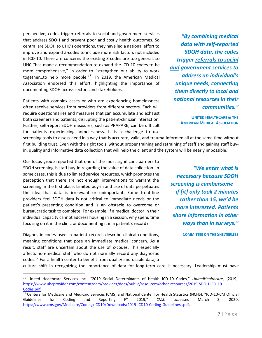perspective, codes trigger referrals to social and government services that address SDOH and prevent poor and costly health outcomes. So central are SDOH to UHC's operations, they have led a national effort to improve and expand Z-codes to include more risk factors not included in ICD-10. There are concerns the existing Z-codes are too general, so UHC "has made a recommendation to expand the ICD-10 codes to be more comprehensive," in order to "strengthen our ability to work together...to help more people." $11$  In 2019, the American Medical Association endorsed this effort, highlighting the importance of documenting SDOH across sectors and stakeholders.

Patients with complex cases or who are experiencing homelessness often receive services from providers from different sectors. Each will require questionnaires and measures that can accumulate and exhaust both screeners and patients, disrupting the patient-clinician interaction. Further, self-report SDOH measures, such as PRAPARE, can be difficult for patients experiencing homelessness. It is a challenge to use

screening tools to assess need in a way that is accurate, valid, and trauma-informed all at the same time without first building trust. Even with the right tools, without proper training and retraining of staff and gaining staff buyin, quality and informative data collection that will help the client and the system will be nearly impossible.

Our focus group reported that one of the most significant barriers to SDOH screening is staff buy-in regarding the value of data collection. In some cases, this is due to limited service resources, which promotes the perception that there are not enough interventions to warrant the screening in the first place. Limited buy-in and use of data perpetuates the idea that data is irrelevant or unimportant. Some front-line providers feel SDOH data is not critical to immediate needs or the patient's presenting condition and is an obstacle to overcome or bureaucratic task to complete. For example, if a medical doctor in their individual capacity cannot address housing in a session, why spend time focusing on it in the clinic or documenting it in a patient's record?

Diagnostic codes used in patient records describe clinical conditions, meaning conditions that pose an immediate medical concern. As a result, staff are uncertain about the use of Z-codes. This especially affects non-medical staff who do not normally record any diagnostic codes.<sup>12</sup> For a health center to benefit from quality and usable data, a

*"By combining medical data with self-reported SDOH data, the codes trigger referrals to social and government services to address an individual's unique needs, connecting them directly to local and national resources in their communities."* 

> **UNITED HEALTHCARE & THE AMERICAN MEDICAL ASSOCIATION**

*"We enter what is necessary because SDOH screening is cumbersome if [it] only took 2 minutes rather than 15, we'd be more interested. Patients share information in other ways than in surveys."*

**COMMITTEE ON THE SHELTERLESS** 

culture shift in recognizing the importance of data for long-term care is necessary. Leadership must have

<sup>11</sup> United Healthcare Services Inc., "2019 Social Determinants of Health ICD-10 Codes," *UnitedHealthcare*, (2019), [https://www.uhcprovider.com/content/dam/provider/docs/public/resources/other-resources/2019-SDOH-ICD-10-](https://www.uhcprovider.com/content/dam/provider/docs/public/resources/other-resources/2019-SDOH-ICD-10-Codes.pdf) [Codes.pdf.](https://www.uhcprovider.com/content/dam/provider/docs/public/resources/other-resources/2019-SDOH-ICD-10-Codes.pdf)

<sup>12</sup> Centers for Medicare and Medicaid Services (CMS) and National Center for Health Statistics (NCHS), "ICD-10-CM Official Guidelines for Coding and Reporting FY 2019," *CMS,* accessed March 3, 2020, [https://www.cms.gov/Medicare/Coding/ICD10/Downloads/2019-ICD10-Coding-Guidelines-.pdf.](https://www.cms.gov/Medicare/Coding/ICD10/Downloads/2019-ICD10-Coding-Guidelines-.pdf)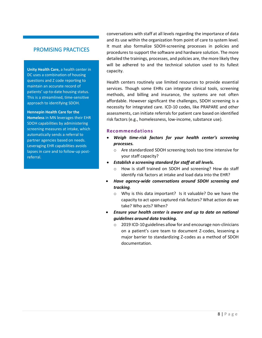## PROMISING PRACTICES

**Unity Health Care,** a health center in DC uses a combination of housing questions and Z code reporting to maintain an accurate record of patients' up-to-date housing status. This is a streamlined, time-sensitive approach to identifying SDOH.

#### **Hennepin Health Care for the**

**Homeless** in MN leverages their EHR SDOH capabilities by administering screening measures at intake, which automatically sends a referral to partner agencies based on needs. Leveraging EHR capabilities avoids lapses in care and to follow-up postreferral.

conversations with staff at all levels regarding the importance of data and its use within the organization from point of care to system level. It must also formalize SDOH-screening processes in policies and procedures to support the software and hardware solution. The more detailed the trainings, processes, and policies are, the more likely they will be adhered to and the technical solution used to its fullest capacity.

Health centers routinely use limited resources to provide essential services. Though some EHRs can integrate clinical tools, screening methods, and billing and insurance, the systems are not often affordable. However significant the challenges, SDOH screening is a necessity for integrated care. ICD-10 codes, like PRAPARE and other assessments, can initiate referrals for patient care based on identified risk factors (e.g., homelessness, low-income, substance use).

#### <span id="page-8-0"></span>**Recommendations**

- *Weigh time-risk factors for your health center's screening processes.*
	- o Are standardized SDOH screening tools too time intensive for your staff capacity?
- *Establish a screening standard for staff at all levels.*
	- How is staff trained on SDOH and screening? How do staff identify risk factors at intake and load data into the EHR?
- *Have agency-wide conversations around SDOH screening and tracking.*
	- o Why is this data important? Is it valuable? Do we have the capacity to act upon captured risk factors? What action do we take? Who acts? When?
- *Ensure your health center is aware and up to date on national guidelines around data tracking.*
	- o 2019 ICD-10 guidelines allow for and encourage non-clinicians on a patient's care team to document Z-codes, lessening a major barrier to standardizing Z-codes as a method of SDOH documentation.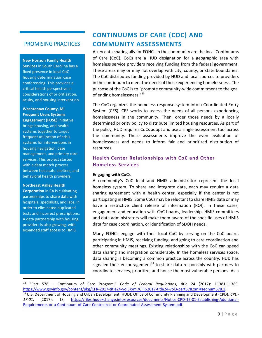## PROMISING PRACTICES

**New Horizon Family Health Services** in South Carolina has a fixed presence in local CoC housing determination case conferencing. This provides a critical health perspective in considerations of prioritization, acuity, and housing intervention.

#### **Washtenaw County, MI Frequent Users Systems**

**Engagement (FUSE)** initiative brings housing, and health systems together to target frequent utilization of crisis systems for interventions in housing navigation, case management, and primary care services. This project started with a data match process between hospitals, shelters, and behavioral health providers.

#### **Northeast Valley Health**

**Corporation** in CA is cultivating partnerships to share data with hospitals, specialists, and labs, in order to eliminated duplicated tests and incorrect prescriptions. A data partnership with housing providers is also growing, with expanded staff access to HMIS.

# <span id="page-9-0"></span>**CONTINUUMS OF CARE (COC) AND COMMUNITY ASSESSMENTS**

A key data sharing ally for FQHCs in the community are the local Continuums of Care (CoC). CoCs are a HUD designation for a geographic area with homeless service providers receiving funding from the federal government. These areas may or may not overlap with city, county, or state boundaries. The CoC distributes funding provided by HUD and local sources to providers in the continuum to meet the needs of those experiencing homelessness. The purpose of the CoC is to "promote community-wide commitment to the goal of ending homelessness."<sup>13</sup>

The CoC organizes the homeless response system into a Coordinated Entry System (CES). CES works to assess the needs of all persons experiencing homelessness in the community. Then, order those needs by a locally determined priority policy to distribute limited housing resources. As part of the policy, HUD requires CoCs adopt and use a single assessment tool across the community. These assessments improve the even evaluation of homelessness and needs to inform fair and prioritized distribution of resources.

## <span id="page-9-1"></span>**Health Center Relationships with CoC and Other Homeless Services**

#### **Engaging with CoCs**

A community's CoC lead and HMIS administrator represent the local homeless system. To share and integrate data, each may require a data sharing agreement with a health center, especially if the center is not participating in HMIS. Some CoCs may be reluctant to share HMIS data or may have a restrictive client release of information (ROI). In these cases, engagement and education with CoC boards, leadership, HMIS committees and data administrators will make them aware of the specific uses of HMIS data for case coordination, or identification of SDOH needs.

Many FQHCs engage with their local CoC by serving on the CoC board, participating in HMIS, receiving funding, and going to care coordination and other community meetings. Existing relationships with the CoC can speed data sharing and integration considerably. In the homeless services space, data sharing is becoming a common practice across the country. HUD has signaled their encouragement<sup>14</sup> to share data responsibly with partners to coordinate services, prioritize, and house the most vulnerable persons. As a

<sup>13</sup> "Part 578 – Continuum of Care Program," *Code of Federal Regulations*, title 24 (2017): 11381-11389, [https://www.govinfo.gov/content/pkg/CFR-2017-title24-vol3/xml/CFR-2017-title24-vol3-part578.xml#seqnum578.1.](https://www.govinfo.gov/content/pkg/CFR-2017-title24-vol3/xml/CFR-2017-title24-vol3-part578.xml#seqnum578.1) <sup>14</sup> U.S. Department of Housing and Urban Development (HUD), Office of Community Planning and Development (CPD), *CPD-17-01*, (2017): 18, [https://files.hudexchange.info/resources/documents/Notice-CPD-17-01-Establishing-Additional-](https://files.hudexchange.info/resources/documents/Notice-CPD-17-01-Establishing-Additional-Requirements-or-a-Continuum-of-Care-Centralized-or-Coordinated-Assessment-System.pdf)[Requirements-or-a-Continuum-of-Care-Centralized-or-Coordinated-Assessment-System.pdf.](https://files.hudexchange.info/resources/documents/Notice-CPD-17-01-Establishing-Additional-Requirements-or-a-Continuum-of-Care-Centralized-or-Coordinated-Assessment-System.pdf)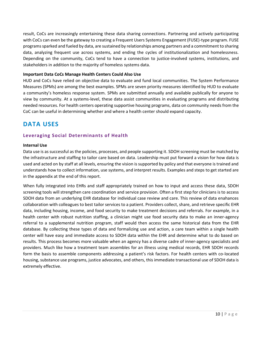result, CoCs are increasingly entertaining these data sharing connections. Partnering and actively participating with CoCs can even be the gateway to creating a Frequent Users Systems Engagement (FUSE)-type program. FUSE programs sparked and fueled by data, are sustained by relationships among partners and a commitment to sharing data, analyzing frequent use across systems, and ending the cycles of institutionalization and homelessness. Depending on the community, CoCs tend to have a connection to justice-involved systems, institutions, and stakeholders in addition to the majority of homeless systems data.

### **Important Data CoCs Manage Health Centers Could Also Use**

HUD and CoCs have relied on objective data to evaluate and fund local communities. The System Performance Measures (SPMs) are among the best examples. SPMs are seven priority measures identified by HUD to evaluate a community's homeless response system. SPMs are submitted annually and available publically for anyone to view by community. At a systems-level, these data assist communities in evaluating programs and distributing needed resources. For health centers operating supportive housing programs, data on community needs from the CoC can be useful in determining whether and where a health center should expand capacity.

# <span id="page-10-0"></span>**DATA USES**

## <span id="page-10-1"></span>**Leveraging Social Determinants of Health**

#### **Internal Use**

Data use is as successful as the policies, processes, and people supporting it. SDOH screening must be matched by the infrastructure and staffing to tailor care based on data. Leadership must put forward a vision for how data is used and acted on by staff at all levels, ensuring the vision is supported by policy and that everyone is trained and understands how to collect information, use systems, and interpret results. Examples and steps to get started are in the appendix at the end of this report.

When fully integrated into EHRs and staff appropriately trained on how to input and access these data, SDOH screening tools will strengthen care coordination and service provision. Often a first step for clinicians is to access SDOH data from an underlying EHR database for individual case review and care. This review of data enahances collaboration with colleagues to best tailor services to a patient. Providers collect, share, and retrieve specific EHR data, including housing, income, and food security to make treatment decisions and referrals. For example, in a health center with robust nutrition staffing, a clinician might use food security data to make an inner-agency referral to a supplemental nutrition program, staff would then access the same historical data from the EHR database. By collecting these types of data and formalizing use and action, a care team within a single health center will have easy and immediate access to SDOH data within the EHR and determine what to do based on results. This process becomes more valuable when an agency has a diverse cadre of inner-agency specialists and providers. Much like how a treatment team assembles for an illness using medical records, EHR SDOH records form the basis to assemble components addressing a patient's risk factors. For health centers with co-located housing, substance use programs, justice advocates, and others, this immediate transactional use of SDOH data is extremely effective.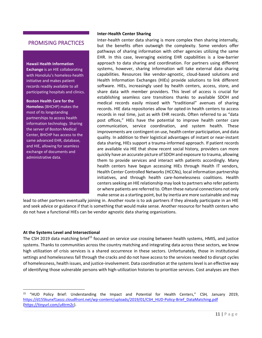## PROMISING PRACTICES

**Hawaii Health Information Exchange** is an HIE collaborating with Honolulu's homeless-health initiative and makes patient records readily available to all participating hospitals and clinics.

**Boston Health Care for the Homeless** (BHCHP) makes the most of its longstanding partnerships to access health information technology. Sharing the server of Boston Medical Center, BHCHP has access to the same advanced EHR, database, and HIE, allowing for seamless exchange of documents and administrative data.

## **Inter-Health Center Sharing**

Inter-health center data sharing is more complex then sharing internally, but the benefits often outweigh the complexity. Some vendors offer pathways of sharing information with other agencies utilizing the same EHR. In this case, leveraging existing EHR capabilities is a low-barrier approach to data sharing and coordination. For partners using different systems, however, sharing information will take external data sharing capabilities. Resources like vendor-agnostic, cloud-based solutions and Health Information Exchanges (HIEs) provide solutions to link different software. HIEs, increasingly used by health centers, access, store, and share data with member providers. This level of access is crucial for establishing seamless care transitions thanks to available SDOH and medical records easily missed with "traditional" avenues of sharing records. HIE data repositories allow for opted-in health centers to access records in real time, just as with EHR records. Often referred to as "data post offices," HIEs have the potential to improve health center care communication, service coordination, and system health. These improvements are contingent on use, health center participation, and data quality. In addition to their logistical advantages of instant or near-instant data sharing, HIEs support a trauma-informed approach. If patient records are available via HIE that show recent social history, providers can more quickly have an accurate picture of SDOH and exposure to trauma, allowing them to provide services and interact with patients accordingly. Many health centers have begun accessing HIEs through Health IT vendors, Health Center Controlled Networks (HCCNs), local information partnership initiatives, and through health care-homelessness coalitions. Health centers seeking an HIE relationship may look to partners who refer patients or where patients are referred to. Often these natural connections not only make sense as a starting point, but by inertia are more sustainable and may

lead to other partners eventually joining in. Another route is to ask partners if they already participate in an HIE and seek advice or guidance if that is something that would make sense. Another resource for health centers who do not have a functional HIEs can be vendor agnostic data sharing organizations.

## **At the Systems Level and Intersectional**

The CSH 2019 data matching brief<sup>15</sup> focused on service use crossing between health systems, HMIS, and justice systems. Thanks to communities across the country matching and integrating data across these sectors, we know high utilization of crisis services is a shared occurrence in these sectors. Unfortunately, those in institutional settings and homelessness fall through the cracks and do not have access to the services needed to disrupt cycles of homelessness, health issues, and justice-involvement. Data coordination at the systems level is an effective way of identifying those vulnerable persons with high-utilization histories to prioritize services. Cost analyses are then

<sup>15</sup> "HUD Policy Brief: Understanding the Impact and Potential for Health Centers," CSH*,* January 2019, [https://d155kunxf1aozz.cloudfront.net/wp-content/uploads/2019/01/CSH\\_HUD-Policy-Brief\\_DataMatching.pdf](https://d155kunxf1aozz.cloudfront.net/wp-content/uploads/2019/01/CSH_HUD-Policy-Brief_DataMatching.pdf) [\(https://tinyurl.com/u4trm2c\)](https://tinyurl.com/u4trm2c).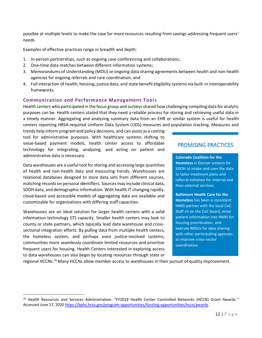possible at multiple levels to make the case for more resources resulting from savings addressing frequent users' needs.

Examples of effective practices range in breadth and depth:

- 1. In-person partnerships, such as ongoing case conferencing and collaborations;
- 2. One-time data matches between different information systems;
- 3. Memorandums of Understanding (MOU) or ongoing data sharing agreements between health and non-health agencies for ongoing referrals and care coordination; and
- 4. Full interaction of health, housing, justice data, and state benefit eligibility systems via built-in interoperability frameworks.

## <span id="page-12-0"></span>**Communication and Performance Management Tools**

Health centers who participated in the focus group and surveys shared how challenging compiling data for analytic purposes can be. Health centers stated that they need a reliable process for storing and retrieving useful data in a timely manner. Aggregating and analyzing summary data from an EHR or similar system is useful for health centers reporting HRSA-required Uniform Data System (UDS) measures and population tracking. Measures and

trends help inform program and policy decisions, and can assist as a costing tool for administrative purposes. With healthcare systems shifting to value-based payment models, health center access to affordable technology for integrating, analyzing, and acting on patient and administrative data is necessary.

Data warehouses are a useful tool for storing and accessing large quantities of health and non-health data and measuring trends. Warehouses are relational databases designed to store data sets from different sources, matching records on personal identifiers. Sources may include clinical data, SDOH data, and demographic information. With health IT changing rapidly, cloud-based and accessible models of aggregating data are available and customizable for organizations with differing staff capacities.

Warehouses are an ideal solution for larger health centers with a solid information technology (IT) capacity. Smaller health centers may look to county or state partners, which typically lead data warehouse and crosssectional integration efforts. By pulling data from multiple health centers, the homeless system, and perhaps even justice-involved systems, communities more seamlessly coordinate limited resources and prioritize frequent users for housing. Health Centers interested in exploring access to data warehouses can also begin by locating resources through state or

## PROMISING PRACTICES

**Colorado Coalition for the Homeless** in Denver screens for SDOH at intake and uses the data to tailor treatment plans and referral initiation for internal and then external services.

**Baltimore Health Care for the Homeless** has been a consistent HMIS partner with the local CoC. Staff sit on the CoC board, enter patient information into HMIS for housing prioritization, and execute MOUs for data sharing with other participating agencies to improve cross-sector coordination.

regional HCCNs.<sup>16</sup> Many HCCNs allow member access to warehouses in their pursuit of quality improvement.

<sup>16</sup> Health Resources and Services Administration. "FY2019 Health Center Controlled Networks (HCCN) Grant Awards." Accessed June 17, 2020 [https://bphc.hrsa.gov/program-opportunities/funding-opportunities/hccn/awards.](https://bphc.hrsa.gov/program-opportunities/funding-opportunities/hccn/awards)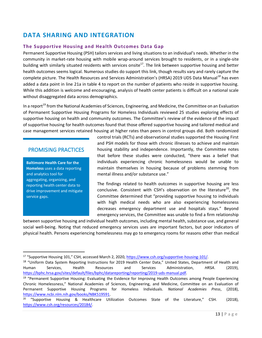# <span id="page-13-0"></span>**DATA SHARING AND INTEGRATION**

## <span id="page-13-1"></span>**The Supportive Housing and Health Outcomes Data Gap**

Permanent Supportive Housing (PSH) tailors services and living situations to an individual's needs. Whether in the community in market-rate housing with mobile wrap-around services brought to residents, or in a single-site building with similarly situated residents with services onsite<sup>17</sup>. The link between supportive housing and better health outcomes seems logical. Numerous studies do support this link, though results vary and rarely capture the complete picture. The Health Resources and Services Administration's (HRSA) 2019 UDS Data Manual*<sup>18</sup>* has even added a data point in line 21a in table 4 to report on the number of patients who reside in supportive housing. While this addition is welcome and encouraging, analysis of health center patients is difficult on a national scale without disaggregated data across demographics.

In a report<sup>19</sup> from the National Academies of Sciences, Engineering, and Medicine, the Committee on an Evaluation of Permanent Supportive Housing Programs for Homeless Individuals reviewed 25 studies exploring effects of supportive housing on health and community outcomes. The Committee's review of the evidence of the impact of supportive housing for health outcomes found that those offered supportive housing and tailored medical and case management services retained housing at higher rates than peers in control groups did. Both randomized

## PROMISING PRACTICES

**Baltimore Health Care for the Homeless** uses a data reporting and analytics tool for aggregating, organizing, and reporting health center data to drive improvement and mitigate service gaps.

control trials (RCTs) and observational studies supported the Housing First and PSH models for those with chronic illnesses to achieve and maintain housing stability and independence. Importantly, the Committee notes that before these studies were conducted, "there was a belief that individuals experiencing chronic homelessness would be unable to maintain themselves in housing because of problems stemming from mental illness and/or substance use."

The findings related to health outcomes in supportive housing are less conclusive. Consistent with CSH's observation on the literature<sup>20</sup>, the Committee determined that "providing supportive housing to individuals with high medical needs who are also experiencing homelessness decreases emergency department use and hospitals stays." Beyond emergency services, the Committee was unable to find a firm relationship

between supportive housing and individual health outcomes, including mental health, substance use, and general social well-being. Noting that reduced emergency services uses are important factors, but poor indicators of physical health. Persons experiencing homelessness may go to emergency rooms for reasons other than medical

<sup>17</sup> "Supportive Housing 101," CSH, accessed March 2, 2020, [https://www.csh.org/supportive-housing-101/.](https://www.csh.org/supportive-housing-101/)

<sup>&</sup>lt;sup>18</sup> "Uniform Data System Reporting Instructions for 2019 Health Center Data," United States, Department of Health and Human Services, Health Resources and Services Administration, *HRSA*. (2019), [https://bphc.hrsa.gov/sites/default/files/bphc/datareporting/reporting/2019-uds-manual.pdf.](https://bphc.hrsa.gov/sites/default/files/bphc/datareporting/reporting/2019-uds-manual.pdf)

<sup>&</sup>lt;sup>19</sup> "Permanent Supportive Housing: Evaluating the Evidence for Improving Health Outcomes among People Experiencing Chronic Homelessness," National Academies of Sciences, Engineering, and Medicine, Committee on an Evaluation of Permanent Supportive Housing Programs for Homeless Individuals. *National Academies Press*, (2018), [https://www.ncbi.nlm.nih.gov/books/NBK519591.](https://www.ncbi.nlm.nih.gov/books/NBK519591)

<sup>&</sup>lt;sup>20</sup> "Supportive Housing & Healthcare Utilization Outcomes State of the Literature," CSH. (2018), [https://www.csh.org/resources/20184/.](https://www.csh.org/resources/20184/)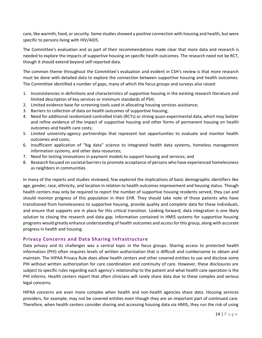care, like warmth, food, or security. Some studies showed a positive connection with housing and health, but were specific to persons living with HIV/AIDS.

The Committee's evaluation and as part of their recommendations made clear that more data and research is needed to explore the impacts of supportive housing on specific health outcomes. The research need not be RCT, though it should extend beyond self-reported data.

The common theme throughout the Committee's evaluation and evident in CSH's review is that more research must be done with detailed data to explore the connection between supportive housing and health outcomes. The Committee identified a number of gaps, many of which the focus groups and surveys also raised:

- 1. Inconsistencies in definitions and characteristics of supportive housing in the existing research literature and limited description of key services or minimum standards of PSH;
- 2. Limited evidence base for screening tools used in allocating housing services assistance;
- 3. Barriers to collection of data on health outcomes of supportive housing;
- 4. Need for additional randomized controlled trials (RCTs) or strong quasi-experimental data, which may bolster and refine evidence of the impact of supportive housing and other forms of permanent housing on health outcomes and health care costs;
- 5. Limited university-agency partnerships that represent lost opportunities to evaluate and monitor health outcomes and costs;
- 6. Insufficient application of "big data" science to integrated health data systems, homeless management information systems, and other data resources;
- 7. Need for testing innovations in payment models to support housing and services; and
- 8. Research focused on societal barriers to promote acceptance of persons who have experienced homelessness as neighbors in communities.

In many of the reports and studies reviewed, few explored the implications of basic demographic identifiers like age, gender, race, ethnicity, and location in relation to health outcomes improvement and housing status. Though health centers may only be required to report the number of supportive housing residents served, they can and should monitor progress of this population in their EHR. They should take note of those patients who have transitioned from homelessness to supportive housing, provide quality and complete data for these individuals, and ensure that supports are in place for this critical transition. Looking forward, data integration is one likely solution to closing the research and data gap. Information contained in HMIS systems for supportive housing programs would greatly enhance understanding of health outcomes and access for this group, along with accurate progress in health and housing.

## <span id="page-14-0"></span>**Privacy Concerns and Data Sharing Infrastructure**

Data privacy and its challenges was a central topic in the focus groups. Sharing access to protected health information (PHI) often requires levels of written authorization that is difficult and cumbersome to obtain and maintain. The HIPAA Privacy Rule does allow health centers and other covered entities to use and disclose some PHI without written authorization for care coordination and continuity of care. However, these disclosures are subject to specific rules regarding each agency's relationship to the patient and what health care operation is the PHI informs. Health centers report that often clinicians will rarely share data due to these complex and serious legal concerns.

HIPAA concerns are even more complex when health and non-health agencies share data. Housing services providers, for example, may not be covered entities even though they are an important part of continued care. Therefore, when health centers consider sharing and accessing housing data via HMIS, they run the risk of using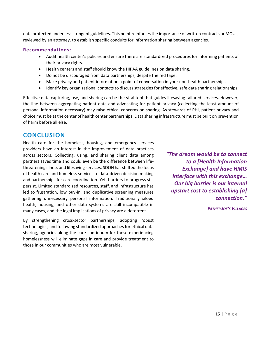data protected under less stringent guidelines. This point reinforces the importance of written contracts or MOUs, reviewed by an attorney, to establish specific conduits for information sharing between agencies.

## <span id="page-15-0"></span>**Recommendations:**

- Audit health center's policies and ensure there are standardized procedures for informing patients of their privacy rights.
- Health centers and staff should know the HIPAA guidelines on data sharing.
- Do not be discouraged from data partnerships, despite the red tape.
- Make privacy and patient information a point of conversation in your non-health partnerships.
- Identify key organizational contacts to discuss strategies for effective, safe data sharing relationships.

Effective data capturing, use, and sharing can be the vital tool that guides lifesaving tailored services. However, the line between aggregating patient data and advocating for patient privacy (collecting the least amount of personal information necessary) may raise ethical concerns on sharing. As stewards of PHI, patient privacy and choice must be at the center of health center partnerships. Data sharing infrastructure must be built on prevention of harm before all else.

## <span id="page-15-1"></span>**CONCLUSION**

Health care for the homeless, housing, and emergency services providers have an interest in the improvement of data practices across sectors. Collecting, using, and sharing client data among partners saves time and could even be the difference between lifethreatening illness and lifesaving services. SDOH has shifted the focus of health care and homeless services to data-driven decision making and partnerships for care coordination. Yet, barriers to progress still persist. Limited standardized resources, staff, and infrastructure has led to frustration, low buy-in, and duplicative screening measures gathering unnecessary personal information. Traditionally siloed health, housing, and other data systems are still incompatible in many cases, and the legal implications of privacy are a deterrent.

By strengthening cross-sector partnerships, adopting robust technologies, and following standardized approaches for ethical data sharing, agencies along the care continuum for those experiencing homelessness will eliminate gaps in care and provide treatment to those in our communities who are most vulnerable.

*"The dream would be to connect to a [Health Information Exchange] and have HMIS interface with this exchange… Our big barrier is our internal upstart cost to establishing [a] connection."*

*FATHER JOE'S VILLAGES*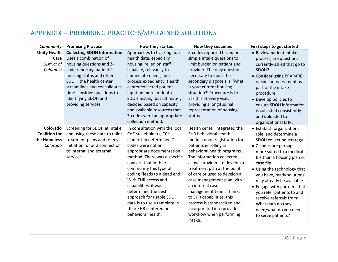# APPENDIX – PROMISING PRACTICES/SUSTAINED SOLUTIONS

<span id="page-16-0"></span>

| Community                                                    | <b>Promising Practice</b>                                                                                                                                                                                                                                                                | How they started                                                                                                                                                                                                                                                                                                                                                                                                                           | How they sustained                                                                                                                                                                                                                                                                                                                                                                                                                                                                             | First steps to get started                                                                                                                                                                                                                                                                                                                                                                                                          |
|--------------------------------------------------------------|------------------------------------------------------------------------------------------------------------------------------------------------------------------------------------------------------------------------------------------------------------------------------------------|--------------------------------------------------------------------------------------------------------------------------------------------------------------------------------------------------------------------------------------------------------------------------------------------------------------------------------------------------------------------------------------------------------------------------------------------|------------------------------------------------------------------------------------------------------------------------------------------------------------------------------------------------------------------------------------------------------------------------------------------------------------------------------------------------------------------------------------------------------------------------------------------------------------------------------------------------|-------------------------------------------------------------------------------------------------------------------------------------------------------------------------------------------------------------------------------------------------------------------------------------------------------------------------------------------------------------------------------------------------------------------------------------|
| <b>Unity Health</b><br>Care<br>District of<br>Columbia       | <b>Collecting SDOH Information</b><br>Uses a combination of<br>housing questions and Z-<br>code reporting patients'<br>housing status and other<br>SDOH, the health center<br>streamlines and consolidates<br>time-sensitive questions to<br>identifying SDOH and<br>providing services. | Approaches to tracking non-<br>health data, especially<br>housing, relied on staff<br>capacity, relevancy to<br>immediate needs, and<br>process expediency. Health<br>center collected patient<br>input on more in-depth<br>SDOH testing, but ultimately<br>decided based on capacity<br>and available resources that<br>Z-codes were an appropriate<br>collection method.                                                                 | Z-codes reported based on<br>simple intake questions to<br>limit burden on patient and<br>provider. The only question<br>necessary to input the<br>secondary diagnosis is, 'what<br>is your current housing<br>situation?' Procedure is to<br>ask this at every visit,<br>providing a longitudinal<br>representation of housing<br>status.                                                                                                                                                     | • Review patient intake<br>process, are questions<br>currently asked that go to<br>SDOH?<br>• Consider using PRAPARE<br>or similar assessment as<br>part of the intake<br>procedure<br>• Develop policies to<br>ensure SDOH information<br>is collected consistently<br>and uploaded to<br>organizational EHR.                                                                                                                      |
| Colorado<br><b>Coalition for</b><br>the Homeless<br>Colorado | Screening for SDOH at intake<br>and using these data to tailor<br>treatment plans and referral<br>initiation for and connection<br>to internal and external<br>services.                                                                                                                 | In consultation with the local<br>CoC stakeholders, CCH<br>leadership determined Z-<br>codes were not an<br>appropriate documentation<br>method. There was a specific<br>concern that in their<br>community this type of<br>coding "leads to a dead end."<br>With EHR access and<br>capabilities, it was<br>determined the best<br>approach for usable SDOH<br>data is to use a template in<br>their EHR centered on<br>behavioral health. | Health center integrated the<br><b>EHR behavioral health</b><br>module upon registration for<br>patients enrolling in<br>behavioral health programs.<br>The information collected<br>allows providers to develop a<br>treatment plan at the point<br>of care or used to develop a<br>case management plan with<br>an internal case<br>management team. Thanks<br>to EHR capabilities, this<br>process is standardized and<br>incorporated into provider<br>workflow when performing<br>intake. | • Establish organizational<br>role, and determine a<br>SDOH collection strategy<br>• Z-codes are perhaps<br>more suited to a medical<br>file than a housing plan or<br>case file<br>• Using the technology that<br>you have, ready solutions<br>may already be available<br>• Engage with partners that<br>you refer patients to and<br>receive referrals from:<br>What data do they<br>need/what do you need<br>to serve patients? |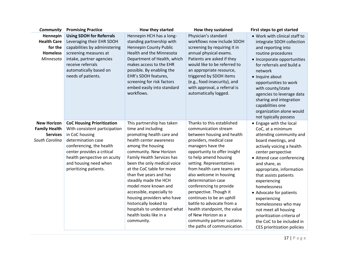| Community                                                                       | <b>Promising Practice</b>                                                                                                                                                                                                                               | How they started                                                                                                                                                                                                                                                                                                                                                                                                                                                                           | How they sustained                                                                                                                                                                                                                                                                                                                                                                                                                                                                                                                      | First steps to get started                                                                                                                                                                                                                                                                                                                                                                                                                                                 |
|---------------------------------------------------------------------------------|---------------------------------------------------------------------------------------------------------------------------------------------------------------------------------------------------------------------------------------------------------|--------------------------------------------------------------------------------------------------------------------------------------------------------------------------------------------------------------------------------------------------------------------------------------------------------------------------------------------------------------------------------------------------------------------------------------------------------------------------------------------|-----------------------------------------------------------------------------------------------------------------------------------------------------------------------------------------------------------------------------------------------------------------------------------------------------------------------------------------------------------------------------------------------------------------------------------------------------------------------------------------------------------------------------------------|----------------------------------------------------------------------------------------------------------------------------------------------------------------------------------------------------------------------------------------------------------------------------------------------------------------------------------------------------------------------------------------------------------------------------------------------------------------------------|
| Hennepin<br><b>Health Care</b><br>for the<br><b>Homeless</b><br>Minnesota       | <b>Using SDOH for Referrals</b><br>Leveraging their EHR SDOH<br>capabilities by administering<br>screening measures at<br>intake, partner agencies<br>receive referrals<br>automatically based on<br>needs of patients.                                 | Hennepin HCH has a long-<br>standing partnership with<br>Hennepin County Public<br>Health and the Minnesota<br>Department of Health, which<br>makes access to the EHR<br>possible. By enabling the<br>EHR's SDOH features,<br>screening for risk factors<br>embed easily into standard<br>workflows.                                                                                                                                                                                       | Physician's standard<br>workflows now include SDOH<br>screening by requiring it in<br>annual physical exams.<br>Patients are asked if they<br>would like to be referred to<br>an appropriate resource,<br>triggered by SDOH items<br>(e.g., food insecurity), and<br>with approval, a referral is<br>automatically logged.                                                                                                                                                                                                              | . Work with clinical staff to<br>integrate SDOH collection<br>and reporting into<br>routine procedures<br>• Incorporate opportunities<br>for referrals and build a<br>network<br>• Inquire about<br>opportunities to work<br>with county/state<br>agencies to leverage data<br>sharing and integration<br>capabilities one<br>organization alone would<br>not typically possess                                                                                            |
| <b>New Horizon</b><br><b>Family Health</b><br><b>Services</b><br>South Carolina | <b>CoC Housing Prioritization</b><br>With consistent participation<br>in CoC housing<br>determination case<br>conferencing, the health<br>center provides a critical<br>health perspective on acuity<br>and housing need when<br>prioritizing patients. | This partnership has taken<br>time and including<br>promoting health care and<br>health center awareness<br>among the housing<br>community. New Horizon<br>Family Health Services has<br>been the only medical voice<br>at the CoC table for more<br>than five years and has<br>steadily made the HCH<br>model more known and<br>accessible, especially to<br>housing providers who have<br>historically looked to<br>hospitals to understand what<br>health looks like in a<br>community. | Thanks to this established<br>communication stream<br>between housing and health<br>providers, medical case<br>managers have the<br>opportunity to offer insight<br>to help amend housing<br>setting. Representatives<br>from health care teams are<br>also welcome in housing<br>determination case<br>conferencing to provide<br>perspective. Though it<br>continues to be an uphill<br>battle to advocate from a<br>health standpoint, the value<br>of New Horizon as a<br>community partner sustains<br>the paths of communication. | • Engage with the local<br>CoC, at a minimum<br>attending community and<br>board meetings, and<br>actively voicing a health<br>center perspective<br>• Attend case conferencing<br>and share, as<br>appropriate, information<br>that assists patients<br>experiencing<br>homelessness<br>• Advocate for patients<br>experiencing<br>homelessness who may<br>not meet all housing<br>prioritization criteria of<br>the CoC to be included in<br>CES prioritization policies |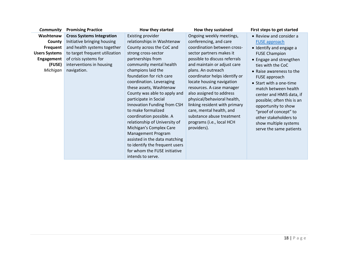| <b>Community</b>     | <b>Promising Practice</b>        | How they started               | How they sustained            | First steps to get started |
|----------------------|----------------------------------|--------------------------------|-------------------------------|----------------------------|
| Washtenaw            | <b>Cross Systems Integration</b> | Existing provider              | Ongoing weekly meetings,      | • Review and consider a    |
| County               | Initiative bringing housing      | relationships in Washtenaw     | conferencing, and care        | <b>FUSE approach</b>       |
| Frequent             | and health systems together      | County across the CoC and      | coordination between cross-   | • Identify and engage a    |
| <b>Users Systems</b> | to target frequent utilization   | strong cross-sector            | sector partners makes it      | <b>FUSE Champion</b>       |
| Engagement           | of crisis systems for            | partnerships from              | possible to discuss referrals | • Engage and strengthen    |
| (FUSE)               | interventions in housing         | community mental health        | and maintain or adjust care   | ties with the CoC          |
| Michigan             | navigation.                      | champions laid the             | plans. An outreach            | • Raise awareness to the   |
|                      |                                  | foundation for rich care       | coordinator helps identify or | FUSE approach              |
|                      |                                  | coordination. Leveraging       | locate housing navigation     | • Start with a one-time    |
|                      |                                  | these assets, Washtenaw        | resources. A case manager     | match between health       |
|                      |                                  | County was able to apply and   | also assigned to address      | center and HMIS data, if   |
|                      |                                  | participate in Social          | physical/behavioral health,   | possible; often this is an |
|                      |                                  | Innovation Funding from CSH    | linking resident with primary | opportunity to show        |
|                      |                                  | to make formalized             | care, mental health, and      | "proof of concept" to      |
|                      |                                  | coordination possible. A       | substance abuse treatment     | other stakeholders to      |
|                      |                                  | relationship of University of  | programs (i.e., local HCH     | show multiple systems      |
|                      |                                  | Michigan's Complex Care        | providers).                   | serve the same patients    |
|                      |                                  | Management Program             |                               |                            |
|                      |                                  | assisted in the data matching  |                               |                            |
|                      |                                  | to identify the frequent users |                               |                            |
|                      |                                  | for whom the FUSE initiative   |                               |                            |
|                      |                                  | intends to serve.              |                               |                            |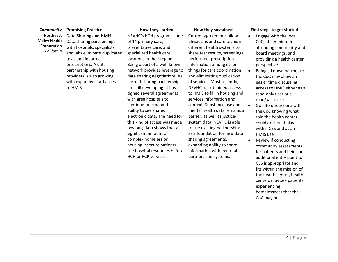| <b>Northeast</b><br><b>Data Sharing and HMIS</b><br>Current agreements allow<br>NEVHC's HCH program is one<br>Engage with the local<br>$\bullet$<br><b>Valley Health</b><br>Data sharing partnerships<br>physicians and care teams in<br>of 14 primary care,<br>CoC, at a minimum<br>Corporation<br>with hospitals, specialists,<br>different health systems to<br>preventative care, and<br>attending community and<br>California<br>and labs eliminate duplicated<br>specialized health care<br>share test results, screenings<br>board meetings, and<br>tests and incorrect<br>locations in their region.<br>performed, prescription<br>providing a health center<br>prescriptions. A data<br>Being a part of a well-known<br>information among other<br>perspective<br>partnership with housing<br>network provides leverage to<br>things for care coordination<br>Being a known partner to<br>$\bullet$<br>providers is also growing,<br>data sharing negotiations. Its<br>and eliminating duplication<br>the CoC may allow an<br>with expanded staff access<br>current sharing partnerships<br>of services. Most recently,<br>easier time discussing<br>NEVHC has obtained access<br>to HMIS.<br>are still developing. It has<br>access to HMIS either as a<br>signed several agreements<br>to HMIS to fill in housing and<br>read-only user or a<br>with area hospitals to<br>services information and<br>read/write use<br>continue to expand the<br>context. Substance use and<br>Go into discussions with<br>$\bullet$<br>ability to see shared<br>mental health data remains a<br>the CoC knowing what<br>electronic data. The need for<br>barrier, as well as justice-<br>role the health center<br>this kind of access was made<br>system data. NEVHC is able<br>could or should play<br>to use existing partnerships<br>obvious; data shows that a<br>within CES and as an<br>significant amount of<br>as a foundation for new data<br><b>HMIS user</b><br>complex homeless or<br>sharing agreements,<br>Review if conducting<br>$\bullet$ |
|----------------------------------------------------------------------------------------------------------------------------------------------------------------------------------------------------------------------------------------------------------------------------------------------------------------------------------------------------------------------------------------------------------------------------------------------------------------------------------------------------------------------------------------------------------------------------------------------------------------------------------------------------------------------------------------------------------------------------------------------------------------------------------------------------------------------------------------------------------------------------------------------------------------------------------------------------------------------------------------------------------------------------------------------------------------------------------------------------------------------------------------------------------------------------------------------------------------------------------------------------------------------------------------------------------------------------------------------------------------------------------------------------------------------------------------------------------------------------------------------------------------------------------------------------------------------------------------------------------------------------------------------------------------------------------------------------------------------------------------------------------------------------------------------------------------------------------------------------------------------------------------------------------------------------------------------------------------------------------------------------------------------------------------------------------|
| housing insecure patients<br>expanding ability to share<br>community assessments<br>information with external<br>use hospital resources before<br>for patients and being an<br>HCH or PCP services.<br>partners and systems.<br>additional entry point to<br>CES is appropriate and<br>fits within the mission of<br>the health center, health<br>centers may see patients<br>experiencing<br>homelessness that the<br>CoC may not                                                                                                                                                                                                                                                                                                                                                                                                                                                                                                                                                                                                                                                                                                                                                                                                                                                                                                                                                                                                                                                                                                                                                                                                                                                                                                                                                                                                                                                                                                                                                                                                                       |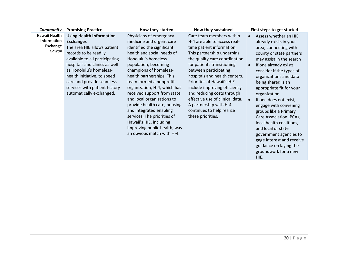| Community                                                 | <b>Promising Practice</b>                                                                                                                                                                                                                                                                                                          | How they started                                                                                                                                                                                                                                                                                                                                                                                                                                                                                                                  | How they sustained                                                                                                                                                                                                                                                                                                                                                                                                                                      | First steps to get started                                                                                                                                                                                                                                                                                                                                                                                                                                                                                                                                   |
|-----------------------------------------------------------|------------------------------------------------------------------------------------------------------------------------------------------------------------------------------------------------------------------------------------------------------------------------------------------------------------------------------------|-----------------------------------------------------------------------------------------------------------------------------------------------------------------------------------------------------------------------------------------------------------------------------------------------------------------------------------------------------------------------------------------------------------------------------------------------------------------------------------------------------------------------------------|---------------------------------------------------------------------------------------------------------------------------------------------------------------------------------------------------------------------------------------------------------------------------------------------------------------------------------------------------------------------------------------------------------------------------------------------------------|--------------------------------------------------------------------------------------------------------------------------------------------------------------------------------------------------------------------------------------------------------------------------------------------------------------------------------------------------------------------------------------------------------------------------------------------------------------------------------------------------------------------------------------------------------------|
| Hawaii Health<br>Information<br><b>Exchange</b><br>Hawaii | <b>Using Health Information</b><br><b>Exchanges</b><br>The area HIE allows patient<br>records to be readily<br>available to all participating<br>hospitals and clinics as well<br>as Honolulu's homeless-<br>health initiative, to speed<br>care and provide seamless<br>services with patient history<br>automatically exchanged. | Physicians of emergency<br>medicine and urgent care<br>identified the significant<br>health and social needs of<br>Honolulu's homeless<br>population, becoming<br>champions of homeless-<br>health partnerships. This<br>team formed a nonprofit<br>organization, H-4, which has<br>received support from state<br>and local organizations to<br>provide health care, housing,<br>and integrated enabling<br>services. The priorities of<br>Hawaii's HIE, including<br>improving public health, was<br>an obvious match with H-4. | Care team members within<br>H-4 are able to access real-<br>time patient information.<br>This partnership underpins<br>the quality care coordination<br>for patients transitioning<br>between participating<br>hospitals and health centers.<br>Priorities of Hawaii's HIE<br>include improving efficiency<br>and reducing costs through<br>effective use of clinical data.<br>A partnership with H-4<br>continues to help realize<br>these priorities. | Assess whether an HIE<br>already exists in your<br>area; connecting with<br>county or state partners<br>may assist in the search<br>If one already exists,<br>consider if the types of<br>organizations and data<br>being shared is an<br>appropriate fit for your<br>organization<br>If one does not exist,<br>engage with convening<br>groups like a Primary<br>Care Association (PCA),<br>local health coalitions,<br>and local or state<br>government agencies to<br>gage interest and receive<br>guidance on laying the<br>groundwork for a new<br>HIE. |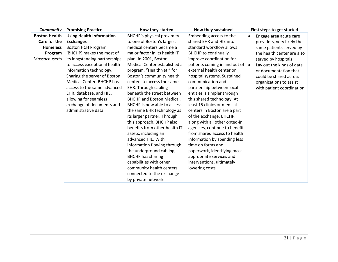| <b>Community</b>     | <b>Promising Practice</b>       | How they started                 | How they sustained                                  | First steps to get started          |
|----------------------|---------------------------------|----------------------------------|-----------------------------------------------------|-------------------------------------|
| <b>Boston Health</b> | <b>Using Health Information</b> | BHCHP's physical proximity       | Embedding access to the                             | Engage area acute care<br>$\bullet$ |
| Care for the         | <b>Exchanges</b>                | to one of Boston's largest       | shared EHR and HIE into                             | providers, very likely the          |
| <b>Homeless</b>      | Boston HCH Program              | medical centers became a         | standard workflow allows                            | same patients served by             |
| Program              | (BHCHP) makes the most of       | major factor in its health IT    | <b>BHCHP</b> to continually                         | the health center are also          |
| <b>Massachusetts</b> | its longstanding partnerships   | plan. In 2001, Boston            | improve coordination for                            | served by hospitals                 |
|                      | to access exceptional health    | Medical Center established a     | patients coming in and out of $\vert \bullet \vert$ | Lay out the kinds of data           |
|                      | information technology.         | program, "HealthNet," for        | external health center or                           | or documentation that               |
|                      | Sharing the server of Boston    | Boston's community health        | hospital systems. Sustained                         | could be shared across              |
|                      | Medical Center, BHCHP has       | centers to access the same       | communication and                                   | organizations to assist             |
|                      | access to the same advanced     | EHR. Through cabling             | partnership between local                           | with patient coordination           |
|                      | EHR, database, and HIE,         | beneath the street between       | entities is simpler through                         |                                     |
|                      | allowing for seamless           | <b>BHCHP and Boston Medical,</b> | this shared technology. At                          |                                     |
|                      | exchange of documents and       | BHCHP is now able to access      | least 15 clinics or medical                         |                                     |
|                      | administrative data.            | the same EHR technology as       | centers in Boston are a part                        |                                     |
|                      |                                 | its larger partner. Through      | of the exchange. BHCHP,                             |                                     |
|                      |                                 | this approach, BHCHP also        | along with all other opted-in                       |                                     |
|                      |                                 | benefits from other health IT    | agencies, continue to benefit                       |                                     |
|                      |                                 | assets, including an             | from shared access to health                        |                                     |
|                      |                                 | advanced HIE. With               | information by spending less                        |                                     |
|                      |                                 | information flowing through      | time on forms and                                   |                                     |
|                      |                                 | the underground cabling,         | paperwork, identifying most                         |                                     |
|                      |                                 | <b>BHCHP</b> has sharing         | appropriate services and                            |                                     |
|                      |                                 | capabilities with other          | interventions, ultimately                           |                                     |
|                      |                                 | community health centers         | lowering costs.                                     |                                     |
|                      |                                 | connected to the exchange        |                                                     |                                     |
|                      |                                 | by private network.              |                                                     |                                     |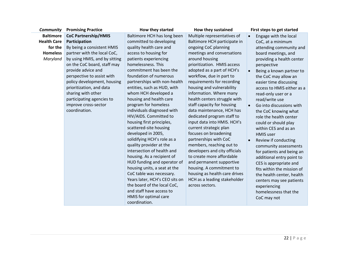| Community          | <b>Promising Practice</b>     | How they started               | How they sustained            | First steps to get started            |
|--------------------|-------------------------------|--------------------------------|-------------------------------|---------------------------------------|
| <b>Baltimore</b>   | <b>CoC Partnership/HMIS</b>   | Baltimore HCH has long been    | Multiple representatives of   | Engage with the local<br>$\bullet$    |
| <b>Health Care</b> | Participation                 | committed to developing        | Baltimore HCH participate in  | CoC, at a minimum                     |
| for the            | By being a consistent HMIS    | quality health care and        | ongoing CoC planning          | attending community and               |
| <b>Homeless</b>    | partner with the local CoC,   | access to housing for          | meetings and conversations    | board meetings, and                   |
| Maryland           | by using HMIS, and by sitting | patients experiencing          | around housing                | providing a health center             |
|                    | on the CoC board, staff may   | homelessness. This             | prioritization. HMIS access   | perspective                           |
|                    | provide advice and            | commitment has been the        | adopted as a part of HCH's    | Being a known partner to<br>$\bullet$ |
|                    | perspective to assist with    | foundation of numerous         | workflow, due in part to      | the CoC may allow an                  |
|                    | policy development, housing   | partnerships with non-health   | requirements for recording    | easier time discussing                |
|                    | prioritization, and data      | entities, such as HUD, with    | housing and vulnerability     | access to HMIS either as a            |
|                    | sharing with other            | whom HCH developed a           | information. Where many       | read-only user or a                   |
|                    | participating agencies to     | housing and health care        | health centers struggle with  | read/write use                        |
|                    | improve cross-sector          | program for homeless           | staff capacity for housing    | Go into discussions with<br>$\bullet$ |
|                    | coordination.                 | individuals diagnosed with     | data maintenance, HCH has     | the CoC knowing what                  |
|                    |                               | HIV/AIDS. Committed to         | dedicated program staff to    | role the health center                |
|                    |                               | housing first principles,      | input data into HMIS. HCH's   | could or should play                  |
|                    |                               | scattered-site housing         | current strategic plan        | within CES and as an                  |
|                    |                               | developed in 2005,             | focuses on broadening         | <b>HMIS</b> user                      |
|                    |                               | solidifying HCH's role as a    | partnerships with CoC         | Review if conducting<br>$\bullet$     |
|                    |                               | quality provider at the        | members, reaching out to      | community assessments                 |
|                    |                               | intersection of health and     | developers and city officials | for patients and being an             |
|                    |                               | housing. As a recipient of     | to create more affordable     | additional entry point to             |
|                    |                               | HUD funding and operator of    | and permanent supportive      | CES is appropriate and                |
|                    |                               | housing units, a seat at the   | housing. A commitment to      | fits within the mission of            |
|                    |                               | CoC table was necessary.       | housing as health care drives | the health center, health             |
|                    |                               | Years later, HCH's CEO sits on | HCH as a leading stakeholder  | centers may see patients              |
|                    |                               | the board of the local CoC,    | across sectors.               | experiencing                          |
|                    |                               | and staff have access to       |                               | homelessness that the                 |
|                    |                               | HMIS for optimal care          |                               | CoC may not                           |
|                    |                               | coordination.                  |                               |                                       |

 $\overline{\phantom{a}}$